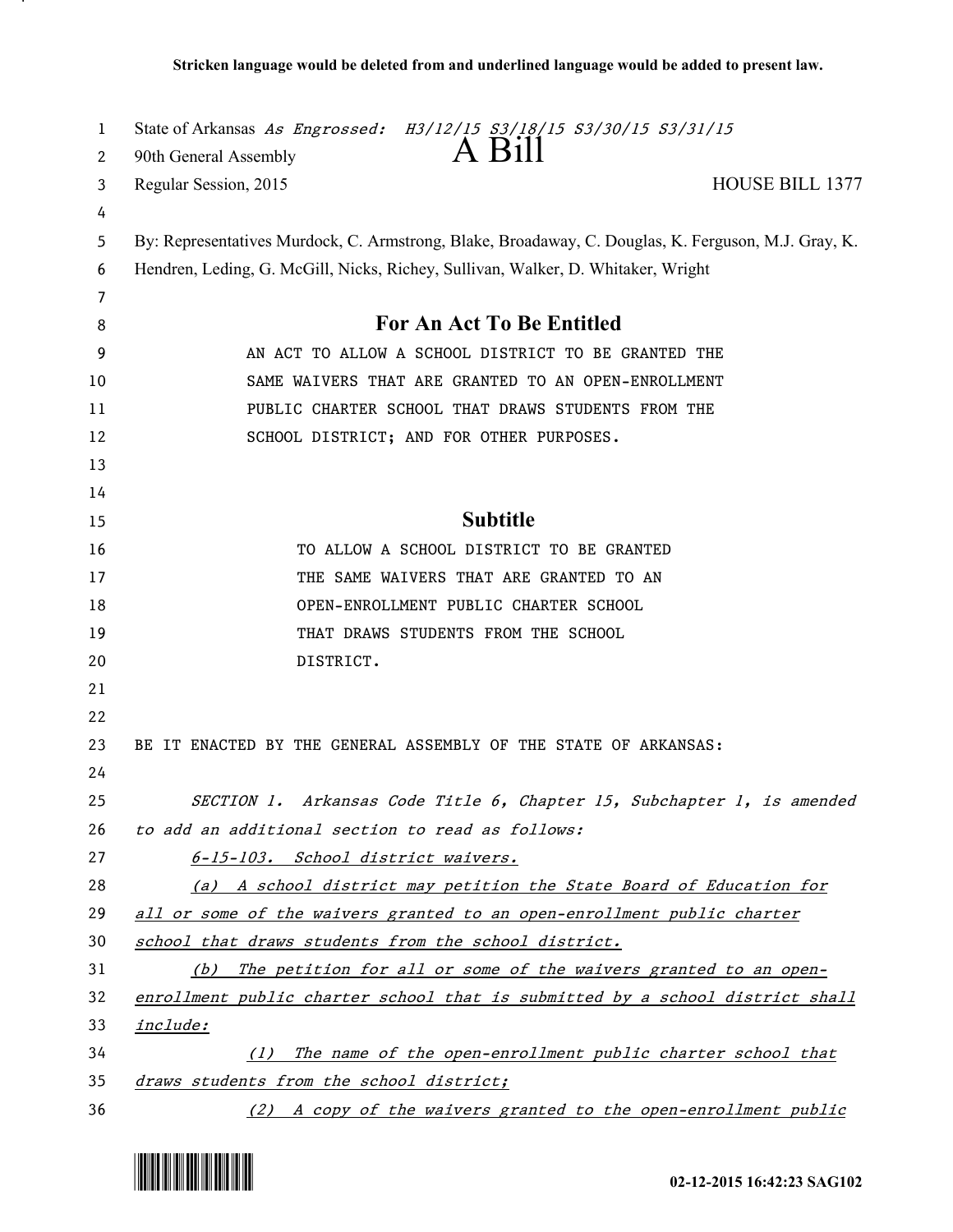| 1  | State of Arkansas As Engrossed: H3/12/15 S3/18/15 S3/30/15 S3/31/15                                 |
|----|-----------------------------------------------------------------------------------------------------|
| 2  | A Bill<br>90th General Assembly                                                                     |
| 3  | <b>HOUSE BILL 1377</b><br>Regular Session, 2015                                                     |
| 4  |                                                                                                     |
| 5  | By: Representatives Murdock, C. Armstrong, Blake, Broadaway, C. Douglas, K. Ferguson, M.J. Gray, K. |
| 6  | Hendren, Leding, G. McGill, Nicks, Richey, Sullivan, Walker, D. Whitaker, Wright                    |
| 7  |                                                                                                     |
| 8  | <b>For An Act To Be Entitled</b>                                                                    |
| 9  | AN ACT TO ALLOW A SCHOOL DISTRICT TO BE GRANTED THE                                                 |
| 10 | SAME WAIVERS THAT ARE GRANTED TO AN OPEN-ENROLLMENT                                                 |
| 11 | PUBLIC CHARTER SCHOOL THAT DRAWS STUDENTS FROM THE                                                  |
| 12 | SCHOOL DISTRICT; AND FOR OTHER PURPOSES.                                                            |
| 13 |                                                                                                     |
| 14 |                                                                                                     |
| 15 | <b>Subtitle</b>                                                                                     |
| 16 | TO ALLOW A SCHOOL DISTRICT TO BE GRANTED                                                            |
| 17 | THE SAME WAIVERS THAT ARE GRANTED TO AN                                                             |
| 18 | OPEN-ENROLLMENT PUBLIC CHARTER SCHOOL                                                               |
| 19 | THAT DRAWS STUDENTS FROM THE SCHOOL                                                                 |
| 20 | DISTRICT.                                                                                           |
| 21 |                                                                                                     |
| 22 |                                                                                                     |
| 23 | BE IT ENACTED BY THE GENERAL ASSEMBLY OF THE STATE OF ARKANSAS:                                     |
| 24 |                                                                                                     |
| 25 | SECTION 1. Arkansas Code Title 6, Chapter 15, Subchapter 1, is amended                              |
| 26 | to add an additional section to read as follows:                                                    |
| 27 | 6-15-103. School district waivers.                                                                  |
| 28 | (a) A school district may petition the State Board of Education for                                 |
| 29 | all or some of the waivers granted to an open-enrollment public charter                             |
| 30 | school that draws students from the school district.                                                |
| 31 | (b) The petition for all or some of the waivers granted to an open-                                 |
| 32 | enrollment public charter school that is submitted by a school district shall                       |
| 33 | <i>include:</i>                                                                                     |
| 34 | The name of the open-enrollment public charter school that<br>(1)                                   |
| 35 | draws students from the school district;                                                            |
| 36 | (2) A copy of the waivers granted to the open-enrollment public                                     |



.